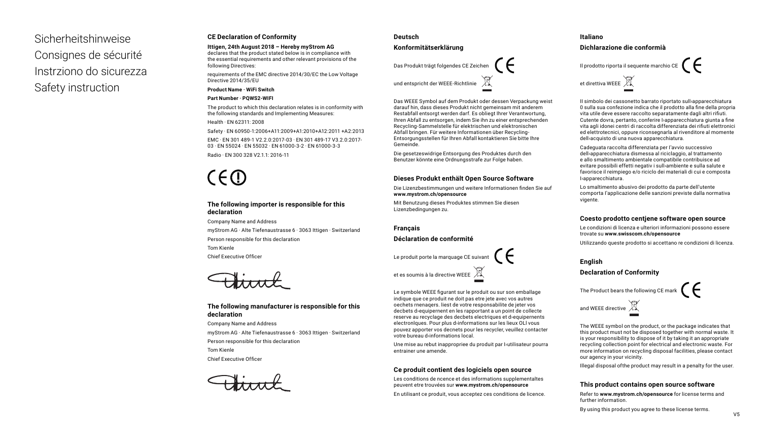Sicherheitshinweise Consignes de sécurité Instrziono do sicurezza Safety instruction

#### **CE Declaration of Conformity**

**Ittigen, 24th August 2018 – Hereby myStrom AG** declares that the product stated below is in compliance with

the essential requirements and other relevant provisions of the following Directives:

requirements of the EMC directive 2014/30/EC the Low Voltage Directive 2014/35/EU

**Product Name · WiFi Switch**

#### **Part Number · PQWS2-WIFI**

The product to which this declaration relates is in conformity with the following standards and Implementing Measures:

Health · EN 62311: 2008

Safety · EN 60950-1:2006+A11:2009+A1:2010+A12:2011 +A2:2013

EMC · EN 301 489-1 V2.2.0:2017-03 · EN 301 489-17 V3.2.0:2017- 03 · EN 55024 · EN 55032 · EN 61000-3-2 · EN 61000-3-3 Radio · EN 300 328 V2.1.1: 2016-11

# $C \in \mathbb{C}$

#### **The following importer is responsible for this declaration**

Company Name and Address myStrom AG · Alte Tiefenaustrasse 6 · 3063 Ittigen · Switzerland Person responsible for this declaration Tom Kienle Chief Executive Officer

#### **The following manufacturer is responsible for this declaration**

Company Name and Address myStrom AG · Alte Tiefenaustrasse 6 · 3063 Ittigen · Switzerland Person responsible for this declaration Tom Kienle Chief Executive Officer

#### **Deutsch**

#### **Konformitätserklärung**

Das Produkt trägt folgendes CE Zeichen

und entspricht der WEEE-Richtlinie

Das WEEE Symbol auf dem Produkt oder dessen Verpackung weist darauf hin, dass dieses Produkt nicht gemeinsam mit anderem Restabfall entsorgt werden darf. Es obliegt Ihrer Verantwortung, Ihren Abfall zu entsorgen, indem Sie ihn zu einer entsprechenden Recycling-Sammelstelle für elektrischen und elektronischen Abfall bringen. Für weitere Informationen über Recycling-Entsorgungsstellen für Ihren Abfall kontaktieren Sie bitte Ihre Gemeinde.

Die gesetzeswidrige Entsorgung des Produktes durch den Benutzer könnte eine Ordnungsstrafe zur Folge haben.

#### **Dieses Produkt enthält Open Source Software**

Die Lizenzbestimmungen und weitere Informationen finden Sie auf **www.mystrom.ch/opensource** 

Mit Benutzung dieses Produktes stimmen Sie diesen Lizenzbedingungen zu.

**Français**

#### **Déclaration de conformité**

Le produit porte la marquage CE suivant



Le symbole WEEE figurant sur le produit ou sur son emballage indique que ce produit ne doit pas etre jete avec vos autres oechets rnenaqers. liest de votre responsabilite de jeter vos decbets d›equipernent en les rapportant a un point de collecte reserve au recyclage des decbets electriques et d›equipernents electronlques. Pour plus d›informations sur les lieux OLl vous pouvez apporter vos decnets pour les recycler, veuillez contacter votre bureau d›informations local.

Une mise au rebut inappropriee du produit par butilisateur pourra entrainer une amende.

#### **Ce produit contient des logiciels open source**

Les conditions de ncence et des informations supplementaltes peuvent etre trouvées sur **www.mystrom.ch/opensource**

En utilisant ce produit, vous acceptez ces conditions de licence.

#### **Italiano**

**Dichlarazione die conformià**

Il prodotto riporta il sequente marchio CE  $\bigcap$ et direttiva WEEE

II simbolo dei cassonetto barrato riportato sull›apparecchiatura 0 sulla sua confezione indica che il prodotto alla fine della propria vita utile deve essere raccolto separatamente dagli altri rifiuti. Cutente dovra, pertanto, conferire I›apparecchiatura giunta a fine vita agli idonei centri di raccolta differenziata dei rifiuti elettronici ed elettrotecnici, oppure riconsegnarla al rivenditore al momente dell›acquisto di una nuova apparecchiatura.

Cadeguata raccolta differenziata per I'avvio successivo dell›apparecchiatura dismessa al riciclaggio, al trattamento e allo smaltimento ambientale compatibile contribuisce ad evitare possibili effetti negativ i sull›ambiente e sulla salute e favorisce il reimpiego e/o riciclo dei materiali di cui e composta I›apparecchiatura.

Lo smaltimento abusivo dei prodotto da parte dell'utente comporta I'applicazione delle sanzioni previste dalla normativa vigente.

#### **Coesto prodotto centjene software open source**

Le condizioni di licenza e ulteriori informazioni possono essere trovate su **www.swisscom.ch/opensource**

Utilizzando queste prodotto si accettano re condizioni di licenza.

#### **English**

#### **Declaration of Conformity**



The WEEE symbol on the product, or the package indicates that this product must not be disposed together with normal waste. It is your responsibility to dispose of it by taking it an appropriate recycling collection point for electrical and electronic waste. For more information on recycling disposal facilities, please contact our agency in your vicinity.

Illegal disposal ofthe product may result in a penalty for the user.

#### **This product contains open source software**

Refer to **www.mystrom.ch/opensource** for license terms and further information.

By using this product you agree to these license terms.